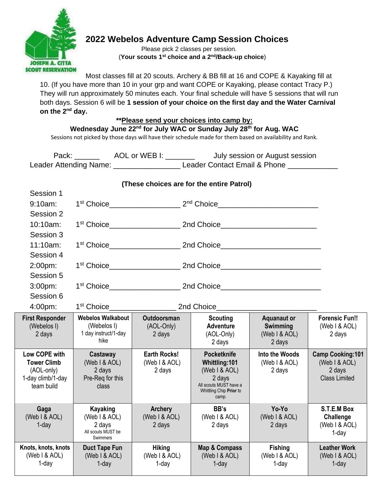

# **2022 Webelos Adventure Camp Session Choices**

 Please pick 2 classes per session. (**Your scouts 1st choice and a 2nd/Back-up choice**)

Most classes fill at 20 scouts. Archery & BB fill at 16 and COPE & Kayaking fill at 10. (If you have more than 10 in your grp and want COPE or Kayaking, please contact Tracy P.) They will run approximately 50 minutes each. Your final schedule will have 5 sessions that will run both days. Session 6 will be **1 session of your choice on the first day and the Water Carnival on the 2nd day.** 

### **\*\*Please send your choices into camp by:**

**Wednesday June 22nd for July WAC or Sunday July 28th for Aug. WAC** 

Sessions not picked by those days will have their schedule made for them based on availability and Rank.

Pack: \_\_\_\_\_\_\_ AOL or WEB I: \_\_\_\_\_\_\_ July session or August session Leader Attending Name: \_\_\_\_\_\_\_\_\_\_\_\_\_\_\_\_\_\_\_\_\_\_\_ Leader Contact Email & Phone \_\_\_\_\_

| (These choices are for the entire Patrol)                                            |                                                                              |                                                |                                                                                                                              |                                                           |                                                                            |
|--------------------------------------------------------------------------------------|------------------------------------------------------------------------------|------------------------------------------------|------------------------------------------------------------------------------------------------------------------------------|-----------------------------------------------------------|----------------------------------------------------------------------------|
| Session 1                                                                            |                                                                              |                                                |                                                                                                                              |                                                           |                                                                            |
| 9:10am:                                                                              |                                                                              |                                                |                                                                                                                              |                                                           |                                                                            |
| Session 2                                                                            |                                                                              |                                                |                                                                                                                              |                                                           |                                                                            |
| 10:10am:                                                                             |                                                                              |                                                |                                                                                                                              |                                                           |                                                                            |
| Session 3                                                                            |                                                                              |                                                |                                                                                                                              |                                                           |                                                                            |
| 11:10am:                                                                             |                                                                              |                                                |                                                                                                                              |                                                           |                                                                            |
| Session 4                                                                            |                                                                              |                                                |                                                                                                                              |                                                           |                                                                            |
| 2:00pm:                                                                              |                                                                              |                                                |                                                                                                                              |                                                           |                                                                            |
| Session 5                                                                            |                                                                              |                                                |                                                                                                                              |                                                           |                                                                            |
| 3:00 <sub>pm</sub>                                                                   |                                                                              |                                                |                                                                                                                              |                                                           |                                                                            |
| Session 6                                                                            |                                                                              |                                                |                                                                                                                              |                                                           |                                                                            |
| 4:00pm:                                                                              | 2nd Choice<br>1 <sup>st</sup> Choice <b>All Accords</b>                      |                                                |                                                                                                                              |                                                           |                                                                            |
| <b>First Responder</b><br>(Webelos I)<br>2 days                                      | <b>Webelos Walkabout</b><br>(Webelos I)<br>1 day instruct/1-day<br>hike      | Outdoorsman<br>(AOL-Only)<br>2 days            | <b>Scouting</b><br><b>Adventure</b><br>(AOL-Only)<br>2 days                                                                  | <b>Aquanaut or</b><br>Swimming<br>(Web I & AOL)<br>2 days | <b>Forensic Fun!!</b><br>(Web I & AOL)<br>2 days                           |
| Low COPE with<br><b>Tower Climb</b><br>(AOL-only)<br>1-day climb/1-day<br>team build | Castaway<br>(Web I & AOL)<br>2 days<br>Pre-Reg for this<br>class             | <b>Earth Rocks!</b><br>(Web I & AOL)<br>2 days | <b>Pocketknife</b><br>Whittling:101<br>(Web I & AOL)<br>2 days<br>All scouts MUST have a<br>Whittling Chip Prior to<br>camp. | Into the Woods<br>(Web I & AOL)<br>2 days                 | <b>Camp Cooking:101</b><br>(Web I & AOL)<br>2 days<br><b>Class Limited</b> |
| Gaga<br>(Web I & AOL)<br>$1$ -day                                                    | <b>Kayaking</b><br>(Web I & AOL)<br>2 days<br>All scouts MUST be<br>Swimmers | <b>Archery</b><br>(Web I & AOL)<br>2 days      | BB's<br>(Web I & AOL)<br>2 days                                                                                              | Yo-Yo<br>(Web I & AOL)<br>2 days                          | S.T.E.M Box<br>Challenge<br>(Web I & AOL)<br>$1$ -day                      |
| Knots, knots, knots<br>(Web I & AOL)<br>1-day                                        | <b>Duct Tape Fun</b><br>(Web I & AOL)<br>$1$ -day                            | <b>Hiking</b><br>(Web I & AOL)<br>$1$ -day     | <b>Map &amp; Compass</b><br>(Web I & AOL)<br>$1$ -day                                                                        | <b>Fishing</b><br>(Web I & AOL)<br>$1$ -day               | <b>Leather Work</b><br>(Web I & AOL)<br>$1$ -day                           |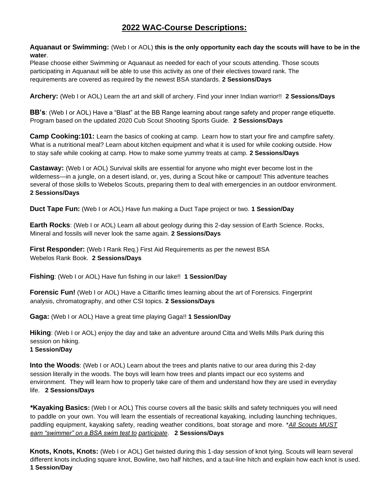## **2022 WAC-Course Descriptions:**

**Aquanaut or Swimming:** (Web I or AOL) **this is the only opportunity each day the scouts will have to be in the water**.

Please choose either Swimming or Aquanaut as needed for each of your scouts attending. Those scouts participating in Aquanaut will be able to use this activity as one of their electives toward rank. The requirements are covered as required by the newest BSA standards. **2 Sessions/Days**

**Archery:** (Web I or AOL) Learn the art and skill of archery. Find your inner Indian warrior!! **2 Sessions/Days**

**BB's**: (Web I or AOL) Have a "Blast" at the BB Range learning about range safety and proper range etiquette. Program based on the updated 2020 Cub Scout Shooting Sports Guide. **2 Sessions/Days**

**Camp Cooking:101:** Learn the basics of cooking at camp. Learn how to start your fire and campfire safety. What is a nutritional meal? Learn about kitchen equipment and what it is used for while cooking outside. How to stay safe while cooking at camp. How to make some yummy treats at camp. **2 Sessions/Days** 

**Castaway:** (Web I or AOL) Survival skills are essential for anyone who might ever become lost in the wilderness—in a jungle, on a desert island, or, yes, during a Scout hike or campout! This adventure teaches several of those skills to Webelos Scouts, preparing them to deal with emergencies in an outdoor environment. **2 Sessions/Days**

**Duct Tape Fun:** (Web I or AOL) Have fun making a Duct Tape project or two. **1 Session/Day** 

**Earth Rocks**: (Web I or AOL) Learn all about geology during this 2-day session of Earth Science. Rocks, Mineral and fossils will never look the same again. **2 Sessions/Days** 

**First Responder:** (Web I Rank Req.) First Aid Requirements as per the newest BSA Webelos Rank Book. **2 Sessions/Days** 

**Fishing**: (Web I or AOL) Have fun fishing in our lake!! **1 Session/Day** 

**Forensic Fun!** (Web I or AOL) Have a Cittarific times learning about the art of Forensics. Fingerprint analysis, chromatography, and other CSI topics. **2 Sessions/Days**

**Gaga:** (Web I or AOL) Have a great time playing Gaga!! **1 Session/Day** 

**Hiking**: (Web I or AOL) enjoy the day and take an adventure around Citta and Wells Mills Park during this session on hiking. **1 Session/Day**

**Into the Woods**: (Web I or AOL) Learn about the trees and plants native to our area during this 2-day session literally in the woods. The boys will learn how trees and plants impact our eco systems and environment. They will learn how to properly take care of them and understand how they are used in everyday life. **2 Sessions/Days** 

**\*Kayaking Basics:** (Web I or AOL) This course covers all the basic skills and safety techniques you will need to paddle on your own. You will learn the essentials of recreational kayaking, including launching techniques, paddling equipment, kayaking safety, reading weather conditions, boat storage and more. \**All Scouts MUST earn "swimmer" on a BSA swim test to participate*. **2 Sessions/Days**

**Knots, Knots, Knots:** (Web I or AOL) Get twisted during this 1-day session of knot tying. Scouts will learn several different knots including square knot, Bowline, two half hitches, and a taut-line hitch and explain how each knot is used. **1 Session/Day**